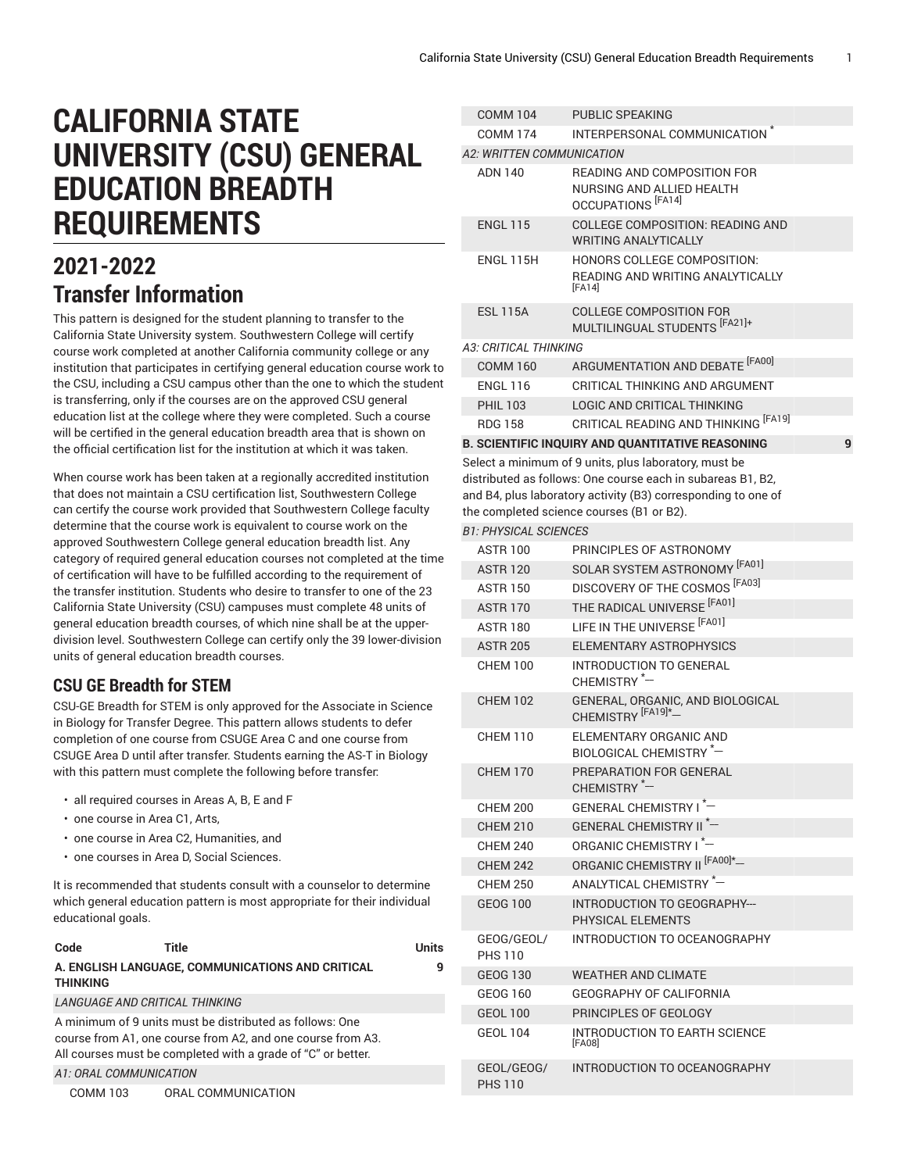# **CALIFORNIA STATE UNIVERSITY (CSU) GENERAL EDUCATION BREADTH REQUIREMENTS**

## **2021-2022 Transfer Information**

This pattern is designed for the student planning to transfer to the California State University system. Southwestern College will certify course work completed at another California community college or any institution that participates in certifying general education course work to the CSU, including a CSU campus other than the one to which the student is transferring, only if the courses are on the approved CSU general education list at the college where they were completed. Such a course will be certified in the general education breadth area that is shown on the official certification list for the institution at which it was taken.

When course work has been taken at a regionally accredited institution that does not maintain a CSU certification list, Southwestern College can certify the course work provided that Southwestern College faculty determine that the course work is equivalent to course work on the approved Southwestern College general education breadth list. Any category of required general education courses not completed at the time of certification will have to be fulfilled according to the requirement of the transfer institution. Students who desire to transfer to one of the 23 California State University (CSU) campuses must complete 48 units of general education breadth courses, of which nine shall be at the upperdivision level. Southwestern College can certify only the 39 lower-division units of general education breadth courses.

### **CSU GE Breadth for STEM**

CSU-GE Breadth for STEM is only approved for the Associate in Science in Biology for Transfer Degree. This pattern allows students to defer completion of one course from CSUGE Area C and one course from CSUGE Area D until after transfer. Students earning the AS-T in Biology with this pattern must complete the following before transfer:

- all required courses in Areas A, B, E and F
- one course in Area C1, Arts,
- one course in Area C2, Humanities, and
- one courses in Area D, Social Sciences.

It is recommended that students consult with a counselor to determine which general education pattern is most appropriate for their individual educational goals.

| Code                   | Title                                                                                                                                                                                   | Units |
|------------------------|-----------------------------------------------------------------------------------------------------------------------------------------------------------------------------------------|-------|
| <b>THINKING</b>        | A. ENGLISH LANGUAGE, COMMUNICATIONS AND CRITICAL                                                                                                                                        | 9     |
|                        | <b>LANGUAGE AND CRITICAL THINKING</b>                                                                                                                                                   |       |
|                        | A minimum of 9 units must be distributed as follows: One<br>course from A1, one course from A2, and one course from A3.<br>All courses must be completed with a grade of "C" or better. |       |
| A1: ORAL COMMUNICATION |                                                                                                                                                                                         |       |

COMM 103 ORAL COMMUNICATION

| <b>COMM 104</b>              | PUBLIC SPEAKING                                                                                                                                                                                                                    |   |
|------------------------------|------------------------------------------------------------------------------------------------------------------------------------------------------------------------------------------------------------------------------------|---|
| <b>COMM 174</b>              | INTERPERSONAL COMMUNICATION <sup>*</sup>                                                                                                                                                                                           |   |
| A2: WRITTEN COMMUNICATION    |                                                                                                                                                                                                                                    |   |
| ADN 140                      | READING AND COMPOSITION FOR<br>NURSING AND ALLIED HEALTH<br>OCCUPATIONS <sup>[FA14]</sup>                                                                                                                                          |   |
| <b>ENGL 115</b>              | <b>COLLEGE COMPOSITION: READING AND</b><br><b>WRITING ANALYTICALLY</b>                                                                                                                                                             |   |
| ENGL 115H                    | <b>HONORS COLLEGE COMPOSITION:</b><br>READING AND WRITING ANALYTICALLY<br>[FA14]                                                                                                                                                   |   |
| <b>ESL 115A</b>              | <b>COLLEGE COMPOSITION FOR</b><br>MULTILINGUAL STUDENTS [FA21]+                                                                                                                                                                    |   |
| <b>A3: CRITICAL THINKING</b> |                                                                                                                                                                                                                                    |   |
| <b>COMM 160</b>              | ARGUMENTATION AND DEBATE [FA00]                                                                                                                                                                                                    |   |
| <b>ENGL 116</b>              | CRITICAL THINKING AND ARGUMENT                                                                                                                                                                                                     |   |
| <b>PHIL 103</b>              | <b>LOGIC AND CRITICAL THINKING</b>                                                                                                                                                                                                 |   |
| <b>RDG 158</b>               | CRITICAL READING AND THINKING [FA19]                                                                                                                                                                                               |   |
|                              | <b>B. SCIENTIFIC INQUIRY AND QUANTITATIVE REASONING</b>                                                                                                                                                                            | 9 |
|                              | Select a minimum of 9 units, plus laboratory, must be<br>distributed as follows: One course each in subareas B1, B2,<br>and B4, plus laboratory activity (B3) corresponding to one of<br>the completed science courses (B1 or B2). |   |
| <b>B1: PHYSICAL SCIENCES</b> |                                                                                                                                                                                                                                    |   |
| <b>ASTR 100</b>              | PRINCIPLES OF ASTRONOMY                                                                                                                                                                                                            |   |
| <b>ASTR 120</b>              | SOLAR SYSTEM ASTRONOMY [FA01]                                                                                                                                                                                                      |   |
| <b>ASTR 150</b>              | DISCOVERY OF THE COSMOS [FA03]                                                                                                                                                                                                     |   |
| <b>ASTR 170</b>              | THE RADICAL UNIVERSE [FA01]                                                                                                                                                                                                        |   |
| <b>ASTR 180</b>              | LIFE IN THE UNIVERSE [FA01]                                                                                                                                                                                                        |   |
| <b>ASTR 205</b>              | ELEMENTARY ASTROPHYSICS                                                                                                                                                                                                            |   |
| <b>CHEM 100</b>              | <b>INTRODUCTION TO GENERAL</b><br>CHEMISTRY <sup>*-</sup>                                                                                                                                                                          |   |
| <b>CHEM 102</b>              | GENERAL, ORGANIC, AND BIOLOGICAL<br>CHEMISTRY <sup>[FA19]*</sup> -                                                                                                                                                                 |   |
| <b>CHEM 110</b>              | ELEMENTARY ORGANIC AND<br>BIOLOGICAL CHEMISTRY *-                                                                                                                                                                                  |   |
| <b>CHEM 170</b>              | PREPARATION FOR GENERAL<br>CHEMISTRY <sup>*-</sup>                                                                                                                                                                                 |   |
| <b>CHEM 200</b>              | GENERAL CHEMISTRY I*-                                                                                                                                                                                                              |   |
| <b>CHEM 210</b>              | <b>GENERAL CHEMISTRY II<sup>*-</sup></b>                                                                                                                                                                                           |   |
| <b>CHEM 240</b>              | ORGANIC CHEMISTRY I <sup>*-</sup>                                                                                                                                                                                                  |   |
| <b>CHEM 242</b>              | ORGANIC CHEMISTRY II <sup> [FA00]*</sup> -                                                                                                                                                                                         |   |
| <b>CHEM 250</b>              | ANALYTICAL CHEMISTRY *-                                                                                                                                                                                                            |   |
| <b>GEOG 100</b>              | INTRODUCTION TO GEOGRAPHY---<br>PHYSICAL ELEMENTS                                                                                                                                                                                  |   |
| GEOG/GEOL/<br><b>PHS 110</b> | INTRODUCTION TO OCEANOGRAPHY                                                                                                                                                                                                       |   |
| <b>GEOG 130</b>              | <b>WEATHER AND CLIMATE</b>                                                                                                                                                                                                         |   |
| GEOG 160                     | GEOGRAPHY OF CALIFORNIA                                                                                                                                                                                                            |   |
| <b>GEOL 100</b>              | PRINCIPLES OF GEOLOGY                                                                                                                                                                                                              |   |
| <b>GEOL 104</b>              | INTRODUCTION TO EARTH SCIENCE<br>[FA08]                                                                                                                                                                                            |   |
| GEOL/GEOG/<br><b>PHS 110</b> | INTRODUCTION TO OCEANOGRAPHY                                                                                                                                                                                                       |   |
|                              |                                                                                                                                                                                                                                    |   |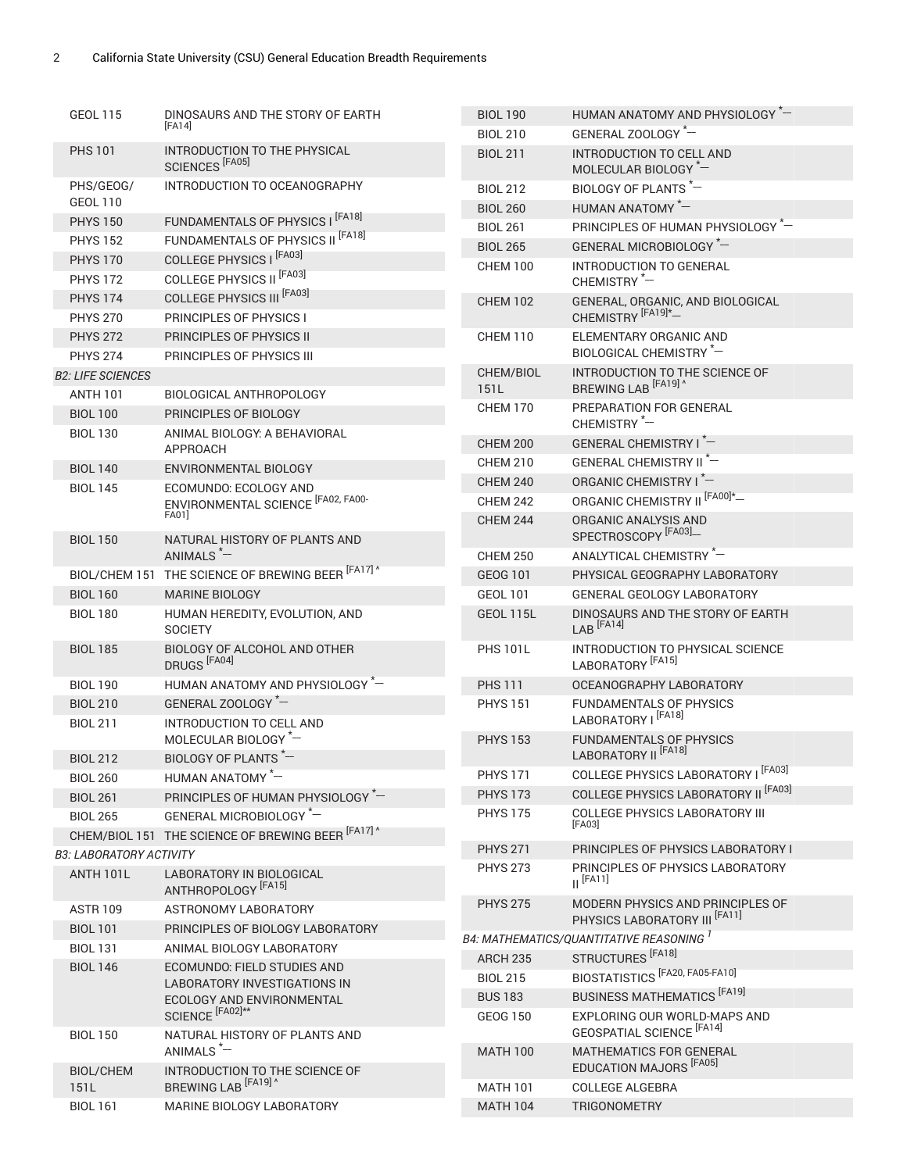| <b>GEOL 115</b>                | DINOSAURS AND THE STORY OF EARTH<br>[FA14]                  | <b>BIOL 190</b>   | HUMAN ANATOMY AND PHYSIOLOGY -                                                |
|--------------------------------|-------------------------------------------------------------|-------------------|-------------------------------------------------------------------------------|
|                                |                                                             | <b>BIOL 210</b>   | GENERAL ZOOLOGY *-                                                            |
| <b>PHS 101</b>                 | INTRODUCTION TO THE PHYSICAL<br>SCIENCES <sup>[FA05]</sup>  | <b>BIOL 211</b>   | INTRODUCTION TO CELL AND<br>MOLECULAR BIOLOGY *-                              |
| PHS/GEOG/                      | INTRODUCTION TO OCEANOGRAPHY                                | <b>BIOL 212</b>   | BIOLOGY OF PLANTS <sup>*-</sup>                                               |
| <b>GEOL 110</b>                |                                                             | <b>BIOL 260</b>   | HUMAN ANATOMY *-                                                              |
| <b>PHYS 150</b>                | FUNDAMENTALS OF PHYSICS I [FA18]                            | <b>BIOL 261</b>   | PRINCIPLES OF HUMAN PHYSIOLOGY *-                                             |
| <b>PHYS 152</b>                | FUNDAMENTALS OF PHYSICS II <sup>[FA18]</sup>                | <b>BIOL 265</b>   | GENERAL MICROBIOLOGY *-                                                       |
| <b>PHYS 170</b>                | COLLEGE PHYSICS   [FA03]                                    | <b>CHEM 100</b>   | <b>INTRODUCTION TO GENERAL</b>                                                |
| <b>PHYS 172</b>                | <b>COLLEGE PHYSICS II<sup>[FA03]</sup></b>                  |                   | CHEMISTRY <sup>*-</sup>                                                       |
| <b>PHYS 174</b>                | <b>COLLEGE PHYSICS III [FA03]</b>                           | <b>CHEM 102</b>   | GENERAL, ORGANIC, AND BIOLOGICAL                                              |
| <b>PHYS 270</b>                | PRINCIPLES OF PHYSICS I                                     |                   | CHEMISTRY <sup>[FA19]*-</sup>                                                 |
| <b>PHYS 272</b>                | PRINCIPLES OF PHYSICS II                                    | <b>CHEM 110</b>   | ELEMENTARY ORGANIC AND<br>BIOLOGICAL CHEMISTRY *-                             |
| <b>PHYS 274</b>                | PRINCIPLES OF PHYSICS III                                   |                   |                                                                               |
| <b>B2: LIFE SCIENCES</b>       |                                                             | CHEM/BIOL<br>151L | INTRODUCTION TO THE SCIENCE OF<br>BREWING LAB <sup>[FA19]</sup> <sup>^</sup>  |
| ANTH 101                       | BIOLOGICAL ANTHROPOLOGY                                     | <b>CHEM 170</b>   | PREPARATION FOR GENERAL                                                       |
| <b>BIOL 100</b>                | PRINCIPLES OF BIOLOGY                                       |                   | CHEMISTRY <sup>*-</sup>                                                       |
| <b>BIOL 130</b>                | ANIMAL BIOLOGY: A BEHAVIORAL                                | <b>CHEM 200</b>   | GENERAL CHEMISTRY I*-                                                         |
|                                | APPROACH<br>ENVIRONMENTAL BIOLOGY                           | <b>CHEM 210</b>   | GENERAL CHEMISTRY II <sup>*-</sup>                                            |
| <b>BIOL 140</b>                | ECOMUNDO: ECOLOGY AND                                       | <b>CHEM 240</b>   | ORGANIC CHEMISTRY I <sup>*--</sup>                                            |
| <b>BIOL 145</b>                | ENVIRONMENTAL SCIENCE <sup>[FA02, FA00-</sup>               | <b>CHEM 242</b>   | ORGANIC CHEMISTRY II <sup>[FA00]*</sup> -                                     |
|                                | FA01]                                                       | <b>CHEM 244</b>   | ORGANIC ANALYSIS AND                                                          |
| <b>BIOL 150</b>                | NATURAL HISTORY OF PLANTS AND                               |                   | SPECTROSCOPY <sup>[FA03]</sup> -                                              |
|                                | ANIMALS <sup>*-</sup>                                       | <b>CHEM 250</b>   | ANALYTICAL CHEMISTRY *-                                                       |
|                                | BIOL/CHEM 151 THE SCIENCE OF BREWING BEER [FA17] ^          | GEOG 101          | PHYSICAL GEOGRAPHY LABORATORY                                                 |
| <b>BIOL 160</b>                | <b>MARINE BIOLOGY</b>                                       | <b>GEOL 101</b>   | <b>GENERAL GEOLOGY LABORATORY</b>                                             |
| <b>BIOL 180</b>                | HUMAN HEREDITY, EVOLUTION, AND<br><b>SOCIETY</b>            | GEOL 115L         | DINOSAURS AND THE STORY OF EARTH<br>LAB <sup>[FA14]</sup>                     |
| <b>BIOL 185</b>                | BIOLOGY OF ALCOHOL AND OTHER<br>DRUGS <sup>[FA04]</sup>     | <b>PHS 101L</b>   | INTRODUCTION TO PHYSICAL SCIENCE<br>LABORATORY <sup> [FA15]</sup>             |
| <b>BIOL 190</b>                | HUMAN ANATOMY AND PHYSIOLOGY *-                             | <b>PHS 111</b>    | OCEANOGRAPHY LABORATORY                                                       |
| <b>BIOL 210</b>                | GENERAL ZOOLOGY *-                                          | <b>PHYS 151</b>   | FUNDAMENTALS OF PHYSICS                                                       |
| <b>BIOL 211</b>                | INTRODUCTION TO CELL AND                                    |                   | LABORATORY   [FA18]                                                           |
|                                | MOLECULAR BIOLOGY *-                                        | <b>PHYS 153</b>   | <b>FUNDAMENTALS OF PHYSICS</b>                                                |
| <b>BIOL 212</b>                | BIOLOGY OF PLANTS <sup>*-</sup>                             |                   | LABORATORY II <sup>[FA18]</sup>                                               |
| <b>BIOL 260</b>                | HUMAN ANATOMY -                                             | <b>PHYS 171</b>   | COLLEGE PHYSICS LABORATORY   [FA03]                                           |
| <b>BIOL 261</b>                | PRINCIPLES OF HUMAN PHYSIOLOGY -                            | <b>PHYS 173</b>   | <b>COLLEGE PHYSICS LABORATORY II [FA03]</b>                                   |
| <b>BIOL 265</b>                | GENERAL MICROBIOLOGY *-                                     | <b>PHYS 175</b>   | COLLEGE PHYSICS LABORATORY III<br>[FA03]                                      |
|                                | CHEM/BIOL 151 THE SCIENCE OF BREWING BEER [FA17] ^          | <b>PHYS 271</b>   | PRINCIPLES OF PHYSICS LABORATORY I                                            |
| <b>B3: LABORATORY ACTIVITY</b> |                                                             | <b>PHYS 273</b>   | PRINCIPLES OF PHYSICS LABORATORY                                              |
| ANTH 101L                      | LABORATORY IN BIOLOGICAL<br>ANTHROPOLOGY <sup> [FA15]</sup> |                   | $II$ <sup>[FA11]</sup>                                                        |
| <b>ASTR 109</b>                | ASTRONOMY LABORATORY                                        | <b>PHYS 275</b>   | MODERN PHYSICS AND PRINCIPLES OF<br>PHYSICS LABORATORY III <sup> [FA11]</sup> |
| <b>BIOL 101</b>                | PRINCIPLES OF BIOLOGY LABORATORY                            |                   | <b>B4: MATHEMATICS/QUANTITATIVE REASONING</b>                                 |
| <b>BIOL 131</b>                | ANIMAL BIOLOGY LABORATORY                                   | <b>ARCH 235</b>   | STRUCTURES <sup>[FA18]</sup>                                                  |
| <b>BIOL 146</b>                | ECOMUNDO: FIELD STUDIES AND                                 | <b>BIOL 215</b>   | BIOSTATISTICS <sup> [FA20, FA05-FA10]</sup>                                   |
|                                | <b>LABORATORY INVESTIGATIONS IN</b>                         | <b>BUS 183</b>    | <b>BUSINESS MATHEMATICS [FA19]</b>                                            |
|                                | ECOLOGY AND ENVIRONMENTAL<br>SCIENCE <sup>[FA02]**</sup>    | <b>GEOG 150</b>   | EXPLORING OUR WORLD-MAPS AND                                                  |
| <b>BIOL 150</b>                | NATURAL HISTORY OF PLANTS AND                               |                   | <b>GEOSPATIAL SCIENCE [FA14]</b>                                              |
|                                | ANIMALS <sup>*-</sup>                                       | <b>MATH 100</b>   | MATHEMATICS FOR GENERAL                                                       |
| <b>BIOL/CHEM</b>               | INTRODUCTION TO THE SCIENCE OF                              |                   | EDUCATION MAJORS [FA05]                                                       |
| 151L                           | BREWING LAB <sup>[FA19]</sup> <sup>^</sup>                  | <b>MATH 101</b>   | <b>COLLEGE ALGEBRA</b>                                                        |
| <b>BIOL 161</b>                | MARINE BIOLOGY LABORATORY                                   | <b>MATH 104</b>   | <b>TRIGONOMETRY</b>                                                           |
|                                |                                                             |                   |                                                                               |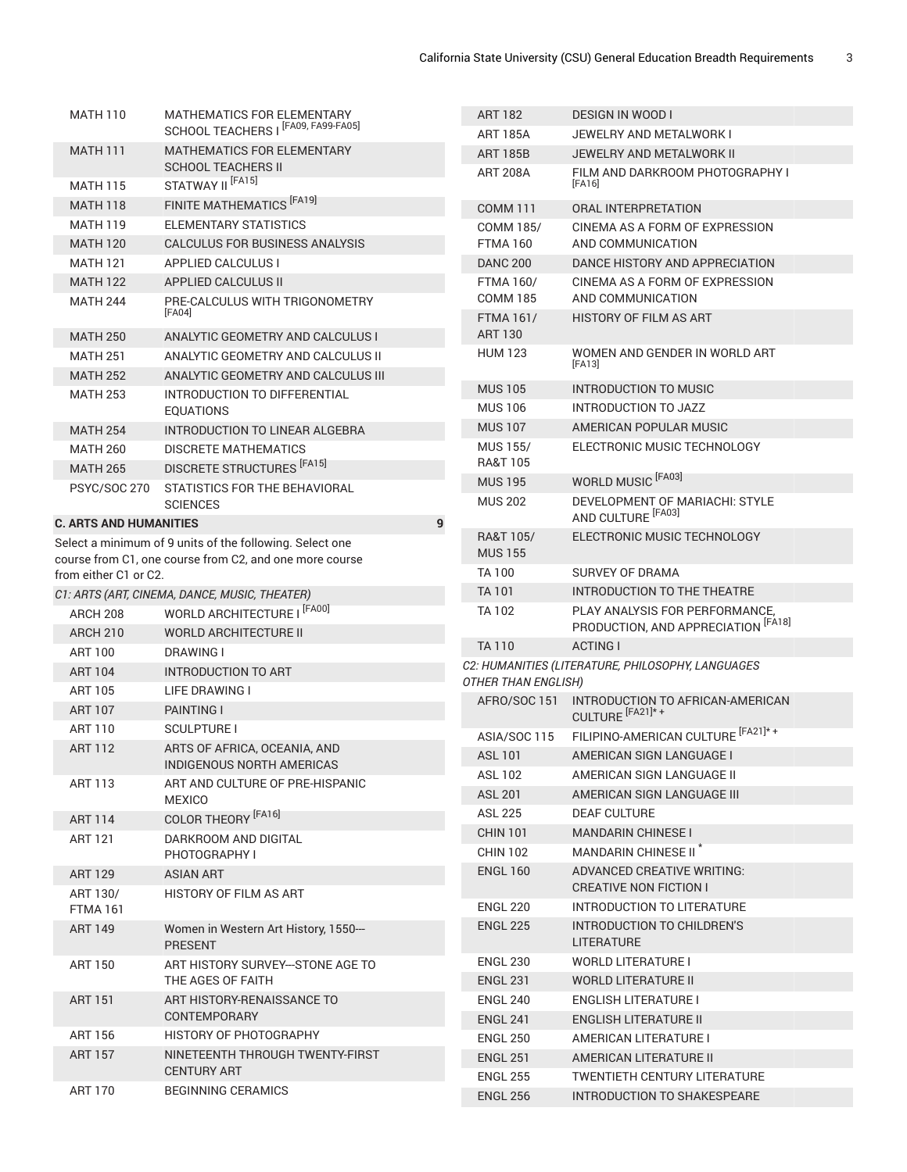| <b>MATH 110</b>               | <b>MATHEMATICS FOR ELEMENTARY</b>                                   | <b>ART 182</b>                      | <b>DESIGN IN WOOD I</b>                                               |
|-------------------------------|---------------------------------------------------------------------|-------------------------------------|-----------------------------------------------------------------------|
|                               | SCHOOL TEACHERS   [FA09, FA99-FA05]                                 | <b>ART 185A</b>                     | JEWELRY AND METALWORK I                                               |
| <b>MATH 111</b>               | MATHEMATICS FOR ELEMENTARY                                          | <b>ART 185B</b>                     | JEWELRY AND METALWORK II                                              |
|                               | <b>SCHOOL TEACHERS II</b>                                           | <b>ART 208A</b>                     | FILM AND DARKROOM PHOTOGRAPHY I                                       |
| <b>MATH 115</b>               | STATWAY II <sup>[FA15]</sup>                                        |                                     | [FA16]                                                                |
| <b>MATH 118</b>               | FINITE MATHEMATICS <sup>[FA19]</sup>                                | <b>COMM 111</b>                     | <b>ORAL INTERPRETATION</b>                                            |
| <b>MATH 119</b>               | ELEMENTARY STATISTICS                                               | <b>COMM 185/</b>                    | CINEMA AS A FORM OF EXPRESSION                                        |
| <b>MATH 120</b>               | CALCULUS FOR BUSINESS ANALYSIS                                      | <b>FTMA160</b>                      | AND COMMUNICATION                                                     |
| <b>MATH 121</b>               | <b>APPLIED CALCULUS I</b>                                           | <b>DANC 200</b>                     | DANCE HISTORY AND APPRECIATION                                        |
| <b>MATH 122</b>               | APPLIED CALCULUS II                                                 | <b>FTMA 160/</b><br><b>COMM 185</b> | CINEMA AS A FORM OF EXPRESSION<br>AND COMMUNICATION                   |
| <b>MATH 244</b>               | PRE-CALCULUS WITH TRIGONOMETRY<br>[FA04]                            | <b>FTMA 161/</b>                    | <b>HISTORY OF FILM AS ART</b>                                         |
| <b>MATH 250</b>               | ANALYTIC GEOMETRY AND CALCULUS I                                    | <b>ART 130</b>                      |                                                                       |
| <b>MATH 251</b>               | ANALYTIC GEOMETRY AND CALCULUS II                                   | <b>HUM 123</b>                      | WOMEN AND GENDER IN WORLD ART                                         |
| <b>MATH 252</b>               |                                                                     |                                     | [FA13]                                                                |
| <b>MATH 253</b>               | ANALYTIC GEOMETRY AND CALCULUS III<br>INTRODUCTION TO DIFFERENTIAL  | <b>MUS 105</b>                      | <b>INTRODUCTION TO MUSIC</b>                                          |
|                               | <b>EQUATIONS</b>                                                    | <b>MUS 106</b>                      | <b>INTRODUCTION TO JAZZ</b>                                           |
| <b>MATH 254</b>               | <b>INTRODUCTION TO LINEAR ALGEBRA</b>                               | <b>MUS 107</b>                      | AMERICAN POPULAR MUSIC                                                |
| <b>MATH 260</b>               | <b>DISCRETE MATHEMATICS</b>                                         | <b>MUS 155/</b>                     | ELECTRONIC MUSIC TECHNOLOGY                                           |
| <b>MATH 265</b>               | DISCRETE STRUCTURES <sup>[FA15]</sup>                               | <b>RA&amp;T 105</b>                 |                                                                       |
| <b>PSYC/SOC 270</b>           | STATISTICS FOR THE BEHAVIORAL                                       | <b>MUS 195</b>                      | WORLD MUSIC <sup>[FA03]</sup>                                         |
|                               | <b>SCIENCES</b>                                                     | <b>MUS 202</b>                      | DEVELOPMENT OF MARIACHI: STYLE                                        |
| <b>C. ARTS AND HUMANITIES</b> | 9                                                                   |                                     | AND CULTURE <sup>[FA03]</sup>                                         |
|                               | Select a minimum of 9 units of the following. Select one            | <b>RA&amp;T 105/</b>                | ELECTRONIC MUSIC TECHNOLOGY                                           |
|                               | course from C1, one course from C2, and one more course             | <b>MUS 155</b>                      |                                                                       |
| from either C1 or C2.         |                                                                     | <b>TA100</b>                        | <b>SURVEY OF DRAMA</b>                                                |
|                               | C1: ARTS (ART, CINEMA, DANCE, MUSIC, THEATER)                       | <b>TA 101</b>                       | INTRODUCTION TO THE THEATRE                                           |
| ARCH 208                      | WORLD ARCHITECTURE I [FA00]                                         | <b>TA102</b>                        | PLAY ANALYSIS FOR PERFORMANCE,<br>PRODUCTION, AND APPRECIATION [FA18] |
| <b>ARCH 210</b>               | <b>WORLD ARCHITECTURE II</b>                                        | <b>TA110</b>                        | <b>ACTING I</b>                                                       |
| <b>ART 100</b>                | <b>DRAWING I</b>                                                    |                                     | C2: HUMANITIES (LITERATURE, PHILOSOPHY, LANGUAGES                     |
| <b>ART 104</b>                | <b>INTRODUCTION TO ART</b>                                          | <b>OTHER THAN ENGLISH)</b>          |                                                                       |
| <b>ART 105</b>                | <b>LIFE DRAWING I</b>                                               | AFRO/SOC 151                        | INTRODUCTION TO AFRICAN-AMERICAN                                      |
| <b>ART 107</b>                | <b>PAINTING I</b>                                                   |                                     | CULTURE <sup>[FA21]*+</sup>                                           |
| <b>ART 110</b>                | <b>SCULPTURE I</b>                                                  | ASIA/SOC 115                        | FILIPINO-AMERICAN CULTURE [FA21]*+                                    |
| <b>ART 112</b>                | ARTS OF AFRICA, OCEANIA, AND                                        | <b>ASL 101</b>                      | AMERICAN SIGN LANGUAGE I                                              |
| <b>ART 113</b>                | <b>INDIGENOUS NORTH AMERICAS</b><br>ART AND CULTURE OF PRE-HISPANIC | <b>ASL 102</b>                      | AMERICAN SIGN LANGUAGE II                                             |
|                               | <b>MEXICO</b>                                                       | <b>ASL 201</b>                      | AMERICAN SIGN LANGUAGE III                                            |
| ART 114                       | COLOR THEORY <sup> [FA16]</sup>                                     | <b>ASL 225</b>                      | <b>DEAF CULTURE</b>                                                   |
| <b>ART 121</b>                | DARKROOM AND DIGITAL                                                | <b>CHIN 101</b>                     | <b>MANDARIN CHINESE I</b>                                             |
|                               | PHOTOGRAPHY I                                                       | <b>CHIN 102</b>                     | MANDARIN CHINESE II <sup>"</sup>                                      |
| <b>ART 129</b>                | ASIAN ART                                                           | <b>ENGL 160</b>                     | ADVANCED CREATIVE WRITING:                                            |
| ART 130/                      | HISTORY OF FILM AS ART                                              |                                     | <b>CREATIVE NON FICTION I</b>                                         |
| <b>FTMA 161</b>               |                                                                     | <b>ENGL 220</b>                     | INTRODUCTION TO LITERATURE                                            |
| <b>ART 149</b>                | Women in Western Art History, 1550-<br><b>PRESENT</b>               | <b>ENGL 225</b>                     | INTRODUCTION TO CHILDREN'S<br><b>LITERATURE</b>                       |
| <b>ART 150</b>                | ART HISTORY SURVEY--STONE AGE TO                                    | <b>ENGL 230</b>                     | <b>WORLD LITERATURE I</b>                                             |
|                               | THE AGES OF FAITH                                                   | <b>ENGL 231</b>                     | <b>WORLD LITERATURE II</b>                                            |
| <b>ART 151</b>                | ART HISTORY-RENAISSANCE TO                                          | <b>ENGL 240</b>                     | <b>ENGLISH LITERATURE I</b>                                           |
|                               | CONTEMPORARY                                                        | <b>ENGL 241</b>                     | <b>ENGLISH LITERATURE II</b>                                          |
| <b>ART 156</b>                | <b>HISTORY OF PHOTOGRAPHY</b>                                       | <b>ENGL 250</b>                     | AMERICAN LITERATURE I                                                 |
| <b>ART 157</b>                | NINETEENTH THROUGH TWENTY-FIRST                                     | <b>ENGL 251</b>                     | AMERICAN LITERATURE II                                                |
|                               | <b>CENTURY ART</b>                                                  | <b>ENGL 255</b>                     | TWENTIETH CENTURY LITERATURE                                          |
| ART 170                       | <b>BEGINNING CERAMICS</b>                                           | <b>ENGL 256</b>                     | INTRODUCTION TO SHAKESPEARE                                           |
|                               |                                                                     |                                     |                                                                       |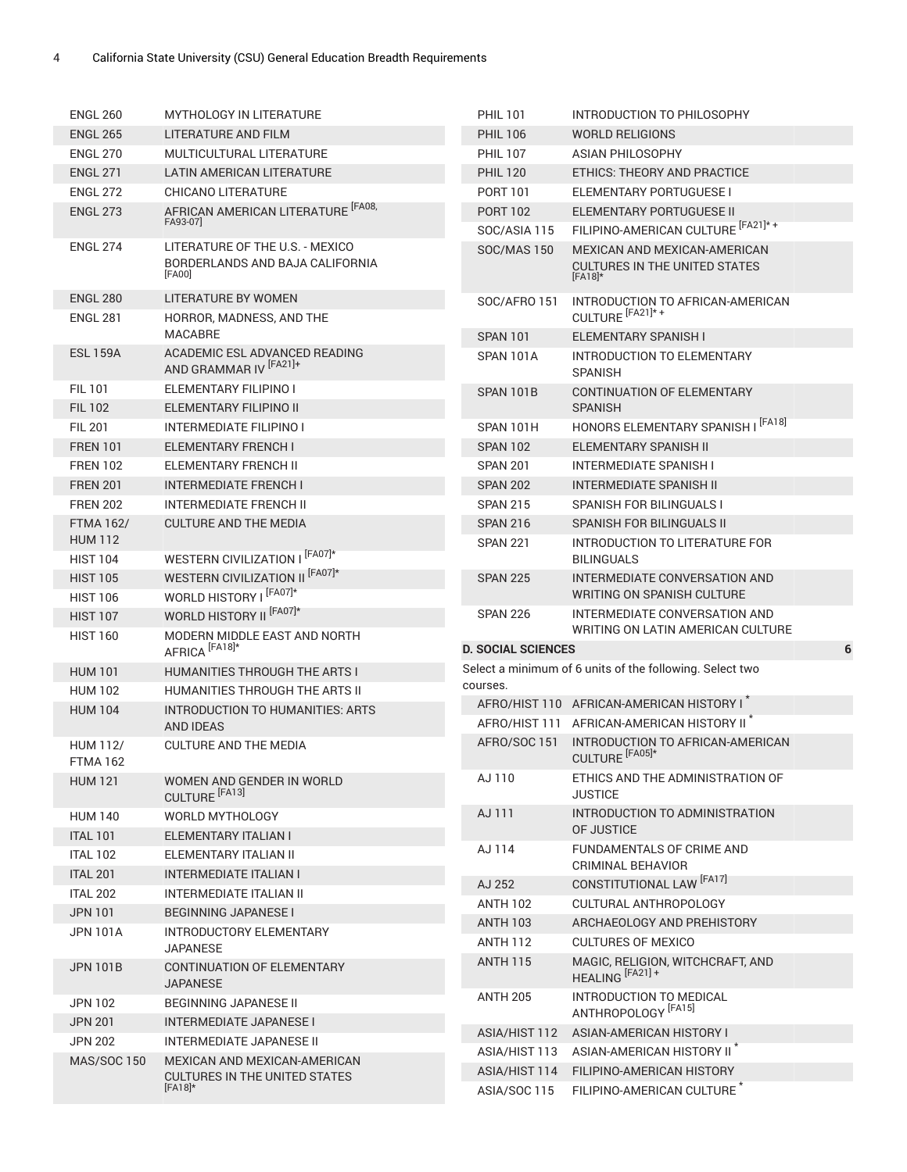| <b>ENGL 260</b>                   | MYTHOLOGY IN LITERATURE                                                      | <b>PHIL 101</b>                | INTRODUCTION TO PHILOSOPHY                                                        |   |
|-----------------------------------|------------------------------------------------------------------------------|--------------------------------|-----------------------------------------------------------------------------------|---|
| <b>ENGL 265</b>                   | LITERATURE AND FILM                                                          | <b>PHIL 106</b>                | <b>WORLD RELIGIONS</b>                                                            |   |
| <b>ENGL 270</b>                   | MULTICULTURAL LITERATURE                                                     | <b>PHIL 107</b>                | <b>ASIAN PHILOSOPHY</b>                                                           |   |
| <b>ENGL 271</b>                   | LATIN AMERICAN LITERATURE                                                    | <b>PHIL 120</b>                | ETHICS: THEORY AND PRACTICE                                                       |   |
| <b>ENGL 272</b>                   | <b>CHICANO LITERATURE</b>                                                    | <b>PORT 101</b>                | ELEMENTARY PORTUGUESE I                                                           |   |
| <b>ENGL 273</b>                   | AFRICAN AMERICAN LITERATURE <sup>[FA08,</sup><br>FA93-07]                    | <b>PORT 102</b>                | ELEMENTARY PORTUGUESE II                                                          |   |
|                                   |                                                                              | SOC/ASIA 115                   | FILIPINO-AMERICAN CULTURE [FA21]*+                                                |   |
| <b>ENGL 274</b>                   | LITERATURE OF THE U.S. - MEXICO<br>BORDERLANDS AND BAJA CALIFORNIA<br>[FA00] | <b>SOC/MAS 150</b>             | MEXICAN AND MEXICAN-AMERICAN<br><b>CULTURES IN THE UNITED STATES</b><br>$[FA18]*$ |   |
| <b>ENGL 280</b>                   | <b>LITERATURE BY WOMEN</b>                                                   | <b>SOC/AFRO 151</b>            | INTRODUCTION TO AFRICAN-AMERICAN                                                  |   |
| <b>ENGL 281</b>                   | HORROR, MADNESS, AND THE                                                     |                                | CULTURE <sup>[FA21]*+</sup>                                                       |   |
|                                   | <b>MACABRE</b>                                                               | <b>SPAN 101</b>                | ELEMENTARY SPANISH I                                                              |   |
| <b>ESL 159A</b>                   | ACADEMIC ESL ADVANCED READING<br>AND GRAMMAR IV [FA21]+                      | SPAN 101A                      | <b>INTRODUCTION TO ELEMENTARY</b><br><b>SPANISH</b>                               |   |
| <b>FIL101</b>                     | ELEMENTARY FILIPINO I                                                        | SPAN 101B                      | CONTINUATION OF ELEMENTARY                                                        |   |
| <b>FIL 102</b>                    | <b>ELEMENTARY FILIPINO II</b>                                                |                                | <b>SPANISH</b>                                                                    |   |
| <b>FIL 201</b>                    | <b>INTERMEDIATE FILIPINO I</b>                                               | SPAN 101H                      | HONORS ELEMENTARY SPANISH I [FA18]                                                |   |
| <b>FREN 101</b>                   | <b>ELEMENTARY FRENCH I</b>                                                   | <b>SPAN 102</b>                | ELEMENTARY SPANISH II                                                             |   |
| <b>FREN 102</b>                   | ELEMENTARY FRENCH II                                                         | <b>SPAN 201</b>                | <b>INTERMEDIATE SPANISH I</b>                                                     |   |
| <b>FREN 201</b>                   | <b>INTERMEDIATE FRENCH I</b>                                                 | <b>SPAN 202</b>                | <b>INTERMEDIATE SPANISH II</b>                                                    |   |
| <b>FREN 202</b>                   | <b>INTERMEDIATE FRENCH II</b>                                                | <b>SPAN 215</b>                | <b>SPANISH FOR BILINGUALS I</b>                                                   |   |
| <b>FTMA 162/</b>                  | <b>CULTURE AND THE MEDIA</b>                                                 | <b>SPAN 216</b>                | SPANISH FOR BILINGUALS II                                                         |   |
| <b>HUM 112</b><br><b>HIST 104</b> | WESTERN CIVILIZATION I [FA07]*                                               | <b>SPAN 221</b>                | INTRODUCTION TO LITERATURE FOR<br><b>BILINGUALS</b>                               |   |
| <b>HIST 105</b>                   | WESTERN CIVILIZATION II [FA07]*                                              | <b>SPAN 225</b>                | INTERMEDIATE CONVERSATION AND                                                     |   |
| <b>HIST 106</b>                   | WORLD HISTORY I [FA07]*                                                      |                                | WRITING ON SPANISH CULTURE                                                        |   |
|                                   |                                                                              |                                |                                                                                   |   |
| <b>HIST 107</b>                   | WORLD HISTORY II <sup>[FA07]*</sup>                                          | <b>SPAN 226</b>                | INTERMEDIATE CONVERSATION AND                                                     |   |
| <b>HIST 160</b>                   | MODERN MIDDLE EAST AND NORTH                                                 |                                | WRITING ON LATIN AMERICAN CULTURE                                                 |   |
|                                   | AFRICA <sup>[FA18]*</sup>                                                    | <b>D. SOCIAL SCIENCES</b>      |                                                                                   | 6 |
| <b>HUM 101</b>                    | HUMANITIES THROUGH THE ARTS I                                                | courses.                       | Select a minimum of 6 units of the following. Select two                          |   |
| <b>HUM 102</b>                    | HUMANITIES THROUGH THE ARTS II                                               |                                | AFRO/HIST 110 AFRICAN-AMERICAN HISTORY I                                          |   |
| <b>HUM 104</b>                    | INTRODUCTION TO HUMANITIES: ARTS<br><b>AND IDEAS</b>                         |                                | AFRO/HIST 111 AFRICAN-AMERICAN HISTORY II <sup>*</sup>                            |   |
| <b>HUM 112/</b><br>FTMA 162       | <b>CULTURE AND THE MEDIA</b>                                                 | AFRO/SOC 151                   | INTRODUCTION TO AFRICAN-AMERICAN<br>CULTURE <sup>[FA05]*</sup>                    |   |
| <b>HUM 121</b>                    | WOMEN AND GENDER IN WORLD                                                    | AJ 110                         | ETHICS AND THE ADMINISTRATION OF<br><b>JUSTICE</b>                                |   |
| <b>HUM 140</b>                    | CULTURE <sup>[FA13]</sup><br>WORLD MYTHOLOGY                                 | AJ 111                         | INTRODUCTION TO ADMINISTRATION                                                    |   |
| <b>ITAL 101</b>                   | ELEMENTARY ITALIAN I                                                         |                                | OF JUSTICE                                                                        |   |
| <b>ITAL 102</b>                   | ELEMENTARY ITALIAN II                                                        | AJ 114                         | FUNDAMENTALS OF CRIME AND                                                         |   |
| <b>ITAL 201</b>                   | <b>INTERMEDIATE ITALIAN I</b>                                                |                                | CRIMINAL BEHAVIOR                                                                 |   |
| <b>ITAL 202</b>                   | <b>INTERMEDIATE ITALIAN II</b>                                               | AJ 252                         | CONSTITUTIONAL LAW [FA17]                                                         |   |
| <b>JPN 101</b>                    | <b>BEGINNING JAPANESE I</b>                                                  | <b>ANTH 102</b>                | CULTURAL ANTHROPOLOGY                                                             |   |
| <b>JPN 101A</b>                   | INTRODUCTORY ELEMENTARY                                                      | <b>ANTH 103</b>                | ARCHAEOLOGY AND PREHISTORY                                                        |   |
|                                   | <b>JAPANESE</b>                                                              | <b>ANTH 112</b>                | <b>CULTURES OF MEXICO</b>                                                         |   |
| <b>JPN 101B</b>                   | CONTINUATION OF ELEMENTARY<br><b>JAPANESE</b>                                | <b>ANTH 115</b>                | MAGIC, RELIGION, WITCHCRAFT, AND<br>HEALING <sup>[FA21]+</sup>                    |   |
| <b>JPN 102</b>                    | BEGINNING JAPANESE II                                                        | <b>ANTH 205</b>                | INTRODUCTION TO MEDICAL                                                           |   |
| <b>JPN 201</b>                    | <b>INTERMEDIATE JAPANESE I</b>                                               |                                | ANTHROPOLOGY <sup> [FA15]</sup>                                                   |   |
| <b>JPN 202</b>                    | INTERMEDIATE JAPANESE II                                                     | ASIA/HIST 112                  | ASIAN-AMERICAN HISTORY I                                                          |   |
| <b>MAS/SOC 150</b>                | MEXICAN AND MEXICAN-AMERICAN<br><b>CULTURES IN THE UNITED STATES</b>         | ASIA/HIST 113<br>ASIA/HIST 114 | ASIAN-AMERICAN HISTORY II <sup>*</sup><br>FILIPINO-AMERICAN HISTORY               |   |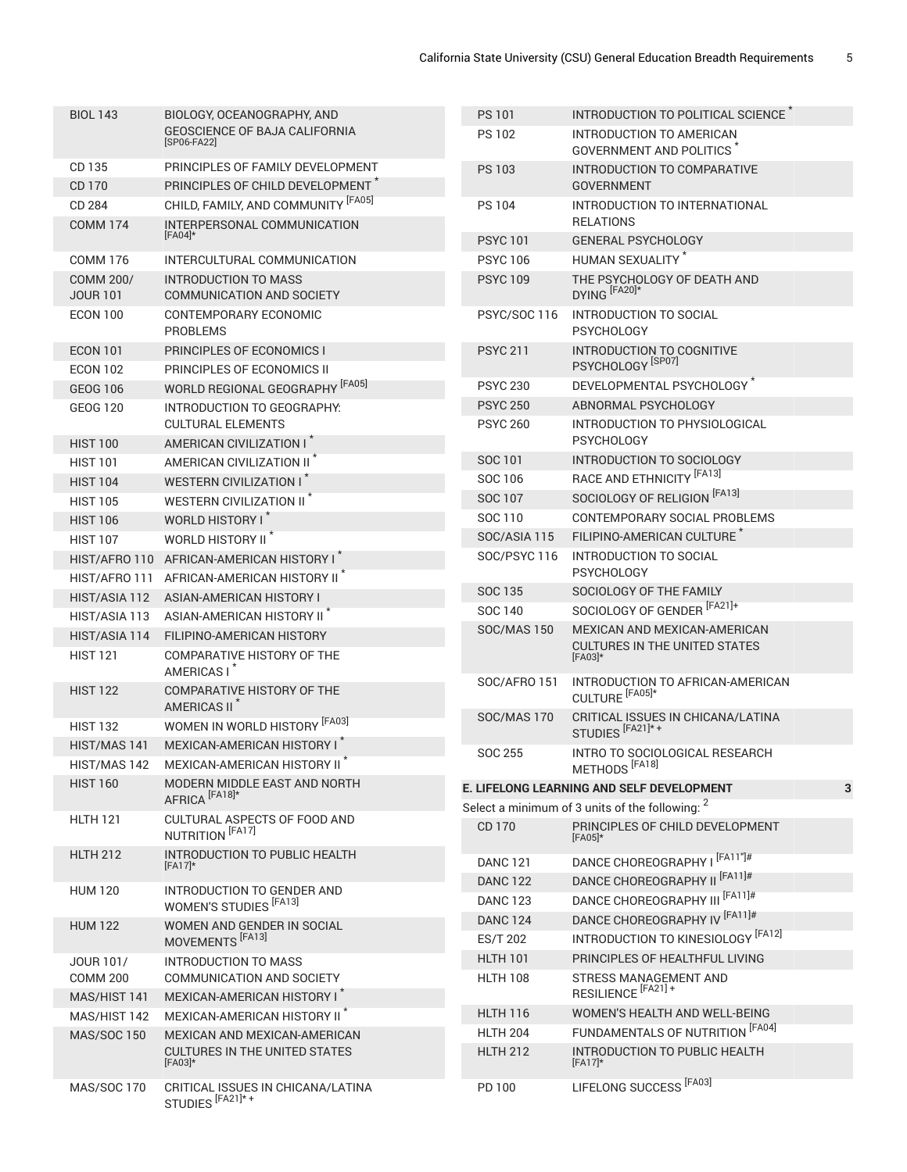| <b>BIOL 143</b>                     | BIOLOGY, OCEANOGRAPHY, AND                                         | <b>PS 101</b>                      | INTRODUCTION TO POLITICAL SCIENCE <sup>^</sup>                   |
|-------------------------------------|--------------------------------------------------------------------|------------------------------------|------------------------------------------------------------------|
|                                     | <b>GEOSCIENCE OF BAJA CALIFORNIA</b><br>[SP06-FA22]                | <b>PS 102</b>                      | INTRODUCTION TO AMERICAN<br><b>GOVERNMENT AND POLITICS</b>       |
| CD 135                              | PRINCIPLES OF FAMILY DEVELOPMENT                                   | <b>PS 103</b>                      | INTRODUCTION TO COMPARATIVE                                      |
| CD 170                              | PRINCIPLES OF CHILD DEVELOPMENT <sup>®</sup>                       |                                    | <b>GOVERNMENT</b>                                                |
| CD 284<br><b>COMM 174</b>           | CHILD, FAMILY, AND COMMUNITY [FA05]<br>INTERPERSONAL COMMUNICATION | <b>PS 104</b>                      | INTRODUCTION TO INTERNATIONAL<br><b>RELATIONS</b>                |
|                                     | $[FA04]*$                                                          | <b>PSYC101</b>                     | <b>GENERAL PSYCHOLOGY</b>                                        |
| <b>COMM 176</b>                     | INTERCULTURAL COMMUNICATION                                        | <b>PSYC106</b>                     | HUMAN SEXUALITY <sup>*</sup>                                     |
| <b>COMM 200/</b><br><b>JOUR 101</b> | <b>INTRODUCTION TO MASS</b><br>COMMUNICATION AND SOCIETY           | <b>PSYC 109</b>                    | THE PSYCHOLOGY OF DEATH AND<br>DYING <sup>[FA20]*</sup>          |
| <b>ECON 100</b>                     | CONTEMPORARY ECONOMIC<br><b>PROBLEMS</b>                           | <b>PSYC/SOC 116</b>                | INTRODUCTION TO SOCIAL<br><b>PSYCHOLOGY</b>                      |
| <b>ECON 101</b>                     | PRINCIPLES OF ECONOMICS I                                          | <b>PSYC 211</b>                    | INTRODUCTION TO COGNITIVE                                        |
| <b>ECON 102</b>                     | PRINCIPLES OF ECONOMICS II                                         |                                    | PSYCHOLOGY <sup> [SP07]</sup>                                    |
| <b>GEOG 106</b>                     | WORLD REGIONAL GEOGRAPHY [FA05]                                    | <b>PSYC 230</b>                    | DEVELOPMENTAL PSYCHOLOGY <sup>*</sup>                            |
| <b>GEOG 120</b>                     | INTRODUCTION TO GEOGRAPHY:                                         | <b>PSYC 250</b>                    | ABNORMAL PSYCHOLOGY                                              |
| <b>HIST 100</b>                     | <b>CULTURAL ELEMENTS</b><br>AMERICAN CIVILIZATION I                | <b>PSYC 260</b>                    | INTRODUCTION TO PHYSIOLOGICAL<br><b>PSYCHOLOGY</b>               |
| <b>HIST 101</b>                     | AMERICAN CIVILIZATION II <sup>*</sup>                              | <b>SOC 101</b>                     | INTRODUCTION TO SOCIOLOGY                                        |
| <b>HIST 104</b>                     | <b>WESTERN CIVILIZATION I</b>                                      | SOC 106                            | RACE AND ETHNICITY <sup> [FA13]</sup>                            |
| <b>HIST 105</b>                     | WESTERN CIVILIZATION II <sup>*</sup>                               | <b>SOC 107</b>                     | SOCIOLOGY OF RELIGION [FA13]                                     |
| <b>HIST 106</b>                     | WORLD HISTORY I <sup>*</sup>                                       | SOC 110                            | CONTEMPORARY SOCIAL PROBLEMS                                     |
| <b>HIST 107</b>                     | WORLD HISTORY II <sup>*</sup>                                      | SOC/ASIA 115                       | FILIPINO-AMERICAN CULTURE <sup>*</sup>                           |
|                                     | HIST/AFRO 110 AFRICAN-AMERICAN HISTORY I*                          | SOC/PSYC 116                       | INTRODUCTION TO SOCIAL                                           |
|                                     | HIST/AFRO 111 AFRICAN-AMERICAN HISTORY II <sup>*</sup>             |                                    | <b>PSYCHOLOGY</b>                                                |
| HIST/ASIA 112                       | ASIAN-AMERICAN HISTORY I                                           | <b>SOC 135</b>                     | SOCIOLOGY OF THE FAMILY                                          |
| HIST/ASIA 113                       | ASIAN-AMERICAN HISTORY II <sup>*</sup>                             | SOC 140                            | SOCIOLOGY OF GENDER [FA21]+                                      |
| HIST/ASIA 114                       | FILIPINO-AMERICAN HISTORY                                          | <b>SOC/MAS 150</b>                 | MEXICAN AND MEXICAN-AMERICAN                                     |
| <b>HIST 121</b>                     | COMPARATIVE HISTORY OF THE<br>AMERICAS I <sup>*</sup>              |                                    | <b>CULTURES IN THE UNITED STATES</b><br>$[FA03]*$                |
| <b>HIST 122</b>                     | COMPARATIVE HISTORY OF THE<br>AMERICAS II <sup>*</sup>             | SOC/AFRO 151                       | INTRODUCTION TO AFRICAN-AMERICAN<br>CULTURE <sup>[FA05]*</sup>   |
| <b>HIST 132</b>                     | WOMEN IN WORLD HISTORY [FA03]                                      | <b>SOC/MAS 170</b>                 | CRITICAL ISSUES IN CHICANA/LATINA<br>STUDIES <sup>[FA21]*+</sup> |
| HIST/MAS 141                        | MEXICAN-AMERICAN HISTORY I <sup>*</sup>                            |                                    |                                                                  |
| HIST/MAS 142                        | MEXICAN-AMERICAN HISTORY II <sup>*</sup>                           | <b>SOC 255</b>                     | INTRO TO SOCIOLOGICAL RESEARCH<br>METHODS <sup>[FA18]</sup>      |
| <b>HIST 160</b>                     | MODERN MIDDLE EAST AND NORTH                                       |                                    | 3<br>E. LIFELONG LEARNING AND SELF DEVELOPMENT                   |
|                                     | AFRICA <sup>[FA18]*</sup>                                          |                                    | Select a minimum of 3 units of the following: <sup>2</sup>       |
| <b>HLTH 121</b>                     | CULTURAL ASPECTS OF FOOD AND<br>NUTRITION <sup>[FA17]</sup>        | CD 170                             | PRINCIPLES OF CHILD DEVELOPMENT<br>$[FA05]*$                     |
| <b>HLTH 212</b>                     | <b>INTRODUCTION TO PUBLIC HEALTH</b><br>$[FA17]*$                  | <b>DANC 121</b>                    | DANCE CHOREOGRAPHY   [FA11"]#                                    |
| <b>HUM 120</b>                      | INTRODUCTION TO GENDER AND                                         | <b>DANC 122</b>                    | DANCE CHOREOGRAPHY II [FA11]#                                    |
|                                     | WOMEN'S STUDIES <sup>[FA13]</sup>                                  | <b>DANC 123</b>                    | DANCE CHOREOGRAPHY III <sup> [FA11]#</sup>                       |
| <b>HUM 122</b>                      | WOMEN AND GENDER IN SOCIAL                                         | <b>DANC 124</b>                    | DANCE CHOREOGRAPHY IV [FA11]#                                    |
|                                     | MOVEMENTS <sup>[FA13]</sup>                                        | <b>ES/T 202</b>                    | INTRODUCTION TO KINESIOLOGY <sup> [FA12]</sup>                   |
| JOUR 101/<br><b>COMM 200</b>        | <b>INTRODUCTION TO MASS</b><br>COMMUNICATION AND SOCIETY           | <b>HLTH 101</b><br><b>HLTH 108</b> | PRINCIPLES OF HEALTHFUL LIVING<br>STRESS MANAGEMENT AND          |
| MAS/HIST 141                        | MEXICAN-AMERICAN HISTORY I                                         |                                    | RESILIENCE <sup>[FA21]+</sup>                                    |
| MAS/HIST 142                        | MEXICAN-AMERICAN HISTORY II <sup>*</sup>                           | <b>HLTH 116</b>                    | WOMEN'S HEALTH AND WELL-BEING                                    |
| <b>MAS/SOC 150</b>                  | MEXICAN AND MEXICAN-AMERICAN                                       | <b>HLTH 204</b>                    | FUNDAMENTALS OF NUTRITION [FA04]                                 |
|                                     | <b>CULTURES IN THE UNITED STATES</b><br>$[FA03]*$                  | <b>HLTH 212</b>                    | INTRODUCTION TO PUBLIC HEALTH<br>$[FA17]*$                       |
| <b>MAS/SOC 170</b>                  | CRITICAL ISSUES IN CHICANA/LATINA<br>STUDIES <sup>[FA21]*+</sup>   | PD 100                             | LIFELONG SUCCESS <sup>[FA03]</sup>                               |